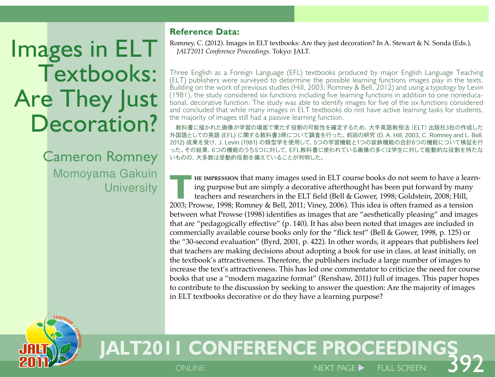# Images in ELT Textbooks: Are They Just Decoration?

Cameron Romney Momoyama Gakuin **University** 

TERCHING +

LEAR

• **GRAM** 

#### **Reference Data:**

Romney, C. (2012). Images in ELT textbooks: Are they just decoration? In A. Stewart & N. Sonda (Eds.), *JALT2011 Conference Proceedings.* Tokyo: JALT.

Three English as a Foreign Language (EFL) textbooks produced by major English Language Teaching (ELT) publishers were surveyed to determine the possible learning functions images play in the texts. Building on the work of previous studies (Hill, 2003; Romney & Bell, 2012) and using a typology by Levin (1981), the study considered six functions including five learning functions in addition to one noneducational, decorative function. The study was able to identify images for five of the six functions considered and concluded that while many images in ELT textbooks do not have active learning tasks for students, the majority of images still had a passive learning function.

教科書に描かれた画像が学習の場面で果たす役割の可能性を確定するため、大手英語教授法(ELT)出版社3社の作成した 外国語としての英語 (EFL) に関する教科書3冊について調査を行った。前回の研究 (D. A. Hill, 2003, C. Romney and L. Bell, 2012) 成果を受け、J. Levin (1981) の類型学を使用して、5つの学習機能と1つの装飾機能の合計6つの機能について検証を行 った。その結果、6つの機能のうち5つに対して、EFL教科書に使われている画像の多くは学生に対して能動的な役割を持たな いものの、大多数は受動的役割を備えていることが判明した。

**THE IMPRESSION that many images used in ELT course books do not seem to have a learn-<br>ing purpose but are simply a decorative afterthought has been put forward by many<br>teachers and researchers in the ELT field (Bell & Gow** ing purpose but are simply a decorative afterthought has been put forward by many teachers and researchers in the ELT field (Bell & Gower, 1998; Goldstein, 2008; Hill, 2003; Prowse, 1998; Romney & Bell, 2011; Viney, 2006). This idea is often framed as a tension between what Prowse (1998) identifies as images that are "aesthetically pleasing" and images that are "pedagogically effective" (p. 140). It has also been noted that images are included in commercially available course books only for the "flick test" (Bell & Gower, 1998, p. 125) or the "30-second evaluation" (Byrd, 2001, p. 422). In other words, it appears that publishers feel that teachers are making decisions about adopting a book for use in class, at least initially, on the textbook's attractiveness. Therefore, the publishers include a large number of images to increase the text's attractiveness. This has led one commentator to criticize the need for course books that use a "modern magazine format" (Renshaw, 2011) full of images. This paper hopes to contribute to the discussion by seeking to answer the question: Are the majority of images in ELT textbooks decorative or do they have a learning purpose?

 $N$ FXT PAGE  $\blacktriangleright$ 

# **JALT2011 CONFERENCE PROCEEDINGS**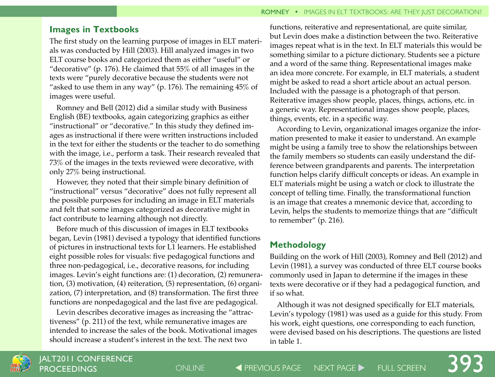# **Images in Textbooks**

The first study on the learning purpose of images in ELT materials was conducted by Hill (2003). Hill analyzed images in two ELT course books and categorized them as either "useful" or "decorative" (p. 176). He claimed that 55% of all images in the texts were "purely decorative because the students were not "asked to use them in any way" (p. 176). The remaining  $45\%$  of images were useful.

Romney and Bell (2012) did a similar study with Business English (BE) textbooks, again categorizing graphics as either "instructional" or "decorative." In this study they defined images as instructional if there were written instructions included in the text for either the students or the teacher to do something with the image, i.e., perform a task. Their research revealed that 73% of the images in the texts reviewed were decorative, with only 27% being instructional.

However, they noted that their simple binary definition of "instructional" versus "decorative" does not fully represent all the possible purposes for including an image in ELT materials and felt that some images categorized as decorative might in fact contribute to learning although not directly.

Before much of this discussion of images in ELT textbooks began, Levin (1981) devised a typology that identified functions of pictures in instructional texts for L1 learners. He established eight possible roles for visuals: five pedagogical functions and three non-pedagogical, i.e., decorative reasons, for including images. Levin's eight functions are: (1) decoration, (2) remuneration, (3) motivation, (4) reiteration, (5) representation, (6) organization, (7) interpretation, and (8) transformation. The first three functions are nonpedagogical and the last five are pedagogical.

Levin describes decorative images as increasing the "attractiveness" (p. 211) of the text, while remunerative images are intended to increase the sales of the book. Motivational images should increase a student's interest in the text. The next two

functions, reiterative and representational, are quite similar, but Levin does make a distinction between the two. Reiterative images repeat what is in the text. In ELT materials this would be something similar to a picture dictionary. Students see a picture and a word of the same thing. Representational images make an idea more concrete. For example, in ELT materials, a student might be asked to read a short article about an actual person. Included with the passage is a photograph of that person. Reiterative images show people, places, things, actions, etc. in a generic way. Representational images show people, places, things, events, etc. in a specific way.

According to Levin, organizational images organize the information presented to make it easier to understand. An example might be using a family tree to show the relationships between the family members so students can easily understand the difference between grandparents and parents. The interpretation function helps clarify difficult concepts or ideas. An example in ELT materials might be using a watch or clock to illustrate the concept of telling time. Finally, the transformational function is an image that creates a mnemonic device that, according to Levin, helps the students to memorize things that are "difficult to remember" (p. 216).

# **Methodology**

Building on the work of Hill (2003), Romney and Bell (2012) and Levin (1981), a survey was conducted of three ELT course books commonly used in Japan to determine if the images in these texts were decorative or if they had a pedagogical function, and if so what.

Although it was not designed specifically for ELT materials, Levin's typology (1981) was used as a guide for this study. From his work, eight questions, one corresponding to each function, were devised based on his descriptions. The questions are listed in table 1.

393

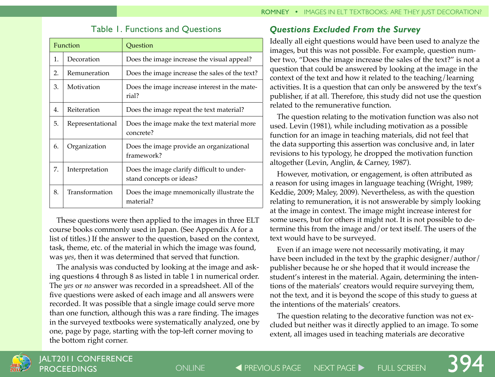| Function |                  | Ouestion                                                               |  |
|----------|------------------|------------------------------------------------------------------------|--|
| 1.       | Decoration       | Does the image increase the visual appeal?                             |  |
| 2.       | Remuneration     | Does the image increase the sales of the text?                         |  |
| 3.       | Motivation       | Does the image increase interest in the mate-<br>rial?                 |  |
| 4.       | Reiteration      | Does the image repeat the text material?                               |  |
| 5.       | Representational | Does the image make the text material more<br>concrete?                |  |
| 6.       | Organization     | Does the image provide an organizational<br>framework?                 |  |
| 7.       | Interpretation   | Does the image clarify difficult to under-<br>stand concepts or ideas? |  |
| 8.       | Transformation   | Does the image mnemonically illustrate the<br>material?                |  |

# Table 1. Functions and Questions

These questions were then applied to the images in three ELT course books commonly used in Japan. (See Appendix A for a list of titles.) If the answer to the question, based on the context, task, theme, etc. of the material in which the image was found, was *yes*, then it was determined that served that function.

The analysis was conducted by looking at the image and asking questions 4 through 8 as listed in table 1 in numerical order. The *yes* or *no* answer was recorded in a spreadsheet. All of the five questions were asked of each image and all answers were recorded. It was possible that a single image could serve more than one function, although this was a rare finding. The images in the surveyed textbooks were systematically analyzed, one by one, page by page, starting with the top-left corner moving to the bottom right corner.

# *Questions Excluded From the Survey*

Ideally all eight questions would have been used to analyze the images, but this was not possible. For example, question number two, "Does the image increase the sales of the text?" is not a question that could be answered by looking at the image in the context of the text and how it related to the teaching/learning activities. It is a question that can only be answered by the text's publisher, if at all. Therefore, this study did not use the question related to the remunerative function.

The question relating to the motivation function was also not used. Levin (1981), while including motivation as a possible function for an image in teaching materials, did not feel that the data supporting this assertion was conclusive and, in later revisions to his typology, he dropped the motivation function altogether (Levin, Anglin, & Carney, 1987).

However, motivation, or engagement, is often attributed as a reason for using images in language teaching (Wright, 1989; Keddie, 2009; Maley, 2009). Nevertheless, as with the question relating to remuneration, it is not answerable by simply looking at the image in context. The image might increase interest for some users, but for others it might not. It is not possible to determine this from the image and/or text itself. The users of the text would have to be surveyed.

Even if an image were not necessarily motivating, it may have been included in the text by the graphic designer/author/ publisher because he or she hoped that it would increase the student's interest in the material. Again, determining the intentions of the materials' creators would require surveying them, not the text, and it is beyond the scope of this study to guess at the intentions of the materials' creators.

The question relating to the decorative function was not excluded but neither was it directly applied to an image. To some extent, all images used in teaching materials are decorative

394

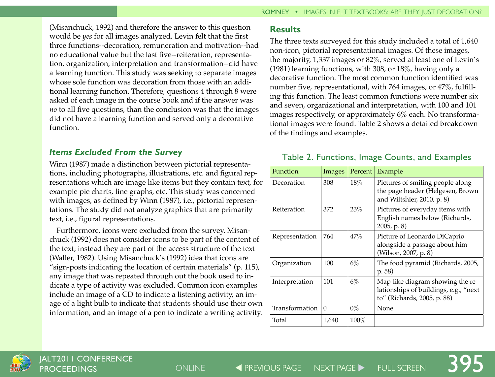(Misanchuck, 1992) and therefore the answer to this question would be *yes* for all images analyzed. Levin felt that the first three functions--decoration, remuneration and motivation--had no educational value but the last five--reiteration, representation, organization, interpretation and transformation--did have a learning function. This study was seeking to separate images whose sole function was decoration from those with an additional learning function. Therefore, questions 4 through 8 were asked of each image in the course book and if the answer was *no* to all five questions, than the conclusion was that the images did not have a learning function and served only a decorative function.

#### *Items Excluded From the Survey*

Winn (1987) made a distinction between pictorial representations, including photographs, illustrations, etc. and figural representations which are image like items but they contain text, for example pie charts, line graphs, etc. This study was concerned with images, as defined by Winn (1987), i.e., pictorial representations. The study did not analyze graphics that are primarily text, i.e., figural representations.

Furthermore, icons were excluded from the survey. Misanchuck (1992) does not consider icons to be part of the content of the text; instead they are part of the access structure of the text (Waller, 1982). Using Misanchuck's (1992) idea that icons are "sign-posts indicating the location of certain materials" (p. 115), any image that was repeated through out the book used to indicate a type of activity was excluded. Common icon examples include an image of a CD to indicate a listening activity, an image of a light bulb to indicate that students should use their own information, and an image of a pen to indicate a writing activity.

# **Results**

The three texts surveyed for this study included a total of 1,640 non-icon, pictorial representational images. Of these images, the majority, 1,337 images or 82%, served at least one of Levin's (1981) learning functions, with 308, or 18%, having only a decorative function. The most common function identified was number five, representational, with 764 images, or 47%, fulfilling this function. The least common functions were number six and seven, organizational and interpretation, with 100 and 101 images respectively, or approximately 6% each. No transformational images were found. Table 2 shows a detailed breakdown of the findings and examples.

# Table 2. Functions, Image Counts, and Examples

| Function       | Images   | Percent | Example                                                                                                  |
|----------------|----------|---------|----------------------------------------------------------------------------------------------------------|
| Decoration     | 308      | 18%     | Pictures of smiling people along<br>the page header (Helgesen, Brown<br>and Wiltshier, 2010, p. 8)       |
| Reiteration    | 372      | 23%     | Pictures of everyday items with<br>English names below (Richards,<br>2005, p. 8                          |
| Representation | 764      | 47%     | Picture of Leonardo DiCaprio<br>alongside a passage about him<br>(Wilson, 2007, p. 8)                    |
| Organization   | 100      | 6%      | The food pyramid (Richards, 2005,<br>p.58                                                                |
| Interpretation | 101      | 6%      | Map-like diagram showing the re-<br>lationships of buildings, e.g., "next<br>to" (Richards, 2005, p. 88) |
| Transformation | $\Omega$ | $0\%$   | None                                                                                                     |
| Total          | 1,640    | $100\%$ |                                                                                                          |

395

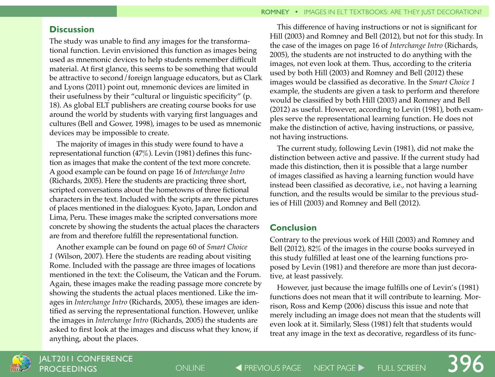#### **Discussion**

The study was unable to find any images for the transformational function. Levin envisioned this function as images being used as mnemonic devices to help students remember difficult material. At first glance, this seems to be something that would be attractive to second/foreign language educators, but as Clark and Lyons (2011) point out, mnemonic devices are limited in their usefulness by their "cultural or linguistic specificity" (p. 18). As global ELT publishers are creating course books for use around the world by students with varying first languages and cultures (Bell and Gower, 1998), images to be used as mnemonic devices may be impossible to create.

The majority of images in this study were found to have a representational function (47%). Levin (1981) defines this function as images that make the content of the text more concrete. A good example can be found on page 16 of *Interchange Intro* (Richards, 2005). Here the students are practicing three short, scripted conversations about the hometowns of three fictional characters in the text. Included with the scripts are three pictures of places mentioned in the dialogues: Kyoto, Japan, London and Lima, Peru. These images make the scripted conversations more concrete by showing the students the actual places the characters are from and therefore fulfill the representational function.

Another example can be found on page 60 of *Smart Choice 1* (Wilson, 2007). Here the students are reading about visiting Rome. Included with the passage are three images of locations mentioned in the text: the Coliseum, the Vatican and the Forum. Again, these images make the reading passage more concrete by showing the students the actual places mentioned. Like the images in *Interchange Intro* (Richards, 2005), these images are identified as serving the representational function. However, unlike the images in *Interchange Intro* (Richards, 2005) the students are asked to first look at the images and discuss what they know, if anything, about the places.

This difference of having instructions or not is significant for Hill (2003) and Romney and Bell (2012), but not for this study. In the case of the images on page 16 of *Interchange Intro* (Richards, 2005), the students are not instructed to do anything with the images, not even look at them. Thus, according to the criteria used by both Hill (2003) and Romney and Bell (2012) these images would be classified as decorative. In the *Smart Choice 1* example, the students are given a task to perform and therefore would be classified by both Hill (2003) and Romney and Bell (2012) as useful. However, according to Levin (1981), both examples serve the representational learning function. He does not make the distinction of active, having instructions, or passive, not having instructions.

The current study, following Levin (1981), did not make the distinction between active and passive. If the current study had made this distinction, then it is possible that a large number of images classified as having a learning function would have instead been classified as decorative, i.e., not having a learning function, and the results would be similar to the previous studies of Hill (2003) and Romney and Bell (2012).

#### **Conclusion**

Contrary to the previous work of Hill (2003) and Romney and Bell (2012), 82% of the images in the course books surveyed in this study fulfilled at least one of the learning functions proposed by Levin (1981) and therefore are more than just decorative, at least passively.

However, just because the image fulfills one of Levin's (1981) functions does not mean that it will contribute to learning. Morrison, Ross and Kemp (2006) discuss this issue and note that merely including an image does not mean that the students will even look at it. Similarly, Sless (1981) felt that students would treat any image in the text as decorative, regardless of its func-

396



ONLINE **THE PREVIOUS PAGE THE PAGE THAT PAGE ARE PAGE AT A PREDICT ON LINE SCREEN**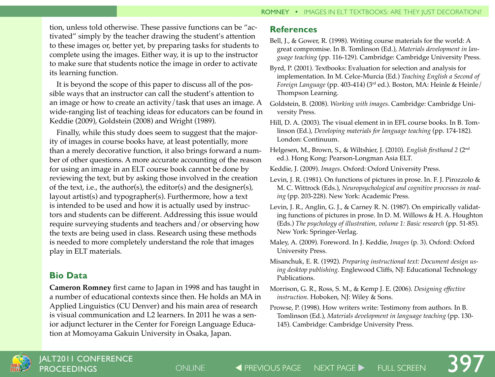tion, unless told otherwise. These passive functions can be "activated" simply by the teacher drawing the student's attention to these images or, better yet, by preparing tasks for students to complete using the images. Either way, it is up to the instructor to make sure that students notice the image in order to activate its learning function.

It is beyond the scope of this paper to discuss all of the possible ways that an instructor can call the student's attention to an image or how to create an activity/task that uses an image. A wide-ranging list of teaching ideas for educators can be found in Keddie (2009), Goldstein (2008) and Wright (1989).

Finally, while this study does seem to suggest that the majority of images in course books have, at least potentially, more than a merely decorative function, it also brings forward a number of other questions. A more accurate accounting of the reason for using an image in an ELT course book cannot be done by reviewing the text, but by asking those involved in the creation of the text, i.e., the author(s), the editor(s) and the designer(s), layout artist(s) and typographer(s). Furthermore, how a text is intended to be used and how it is actually used by instructors and students can be different. Addressing this issue would require surveying students and teachers and/or observing how the texts are being used in class. Research using these methods is needed to more completely understand the role that images play in ELT materials.

# **Bio Data**

**Cameron Romney** first came to Japan in 1998 and has taught in a number of educational contexts since then. He holds an MA in Applied Linguistics (CU Denver) and his main area of research is visual communication and L2 learners. In 2011 he was a senior adjunct lecturer in the Center for Foreign Language Education at Momoyama Gakuin University in Osaka, Japan.

#### **References**

- Bell, J., & Gower, R. (1998). Writing course materials for the world: A great compromise. In B. Tomlinson (Ed.), *Materials development in language teaching* (pp. 116-129). Cambridge: Cambridge University Press.
- Byrd, P. (2001). Textbooks: Evaluation for selection and analysis for implementation. In M. Celce-Murcia (Ed.) *Teaching English a Second of Foreign Language* (pp. 403-414) (3rd ed.). Boston, MA: Heinle & Heinle/ Thompson Learning.
- Goldstein, B. (2008). *Working with images*. Cambridge: Cambridge University Press.
- Hill, D. A. (2003). The visual element in in EFL course books. In B. Tomlinson (Ed.), *Developing materials for language teaching* (pp. 174-182). London: Continuum.
- Helgesen, M., Brown, S., & Wiltshier, J. (2010). *English firsthand 2* (2nd ed.). Hong Kong: Pearson-Longman Asia ELT.
- Keddie, J. (2009). *Images*. Oxford: Oxford University Press.
- Levin, J. R. (1981). On functions of pictures in prose. In. F. J. Pirozzolo & M. C. Wittrock (Eds.), *Neuropsychological and cognitive processes in reading* (pp. 203-228). New York: Academic Press.
- Levin, J. R., Anglin, G. J., & Carney R. N. (1987). On empirically validating functions of pictures in prose. In D. M. Willows & H. A. Houghton (Eds.) *The psychology of illustration, volume 1: Basic research* (pp. 51-85). New York: Springer-Verlag.
- Maley, A. (2009). Foreword. In J. Keddie, *Images* (p. 3). Oxford: Oxford University Press.
- Misanchuk, E. R. (1992). *Preparing instructional text: Document design using desktop publishing*. Englewood Cliffs, NJ: Educational Technology Publications.
- Morrison, G. R., Ross, S. M., & Kemp J. E. (2006). *Designing effective instruction*. Hoboken, NJ: Wiley & Sons.
- Prowse, P. (1998). How writers write: Testimony from authors. In B. Tomlinson (Ed.), *Materials development in language teaching* (pp. 130- 145). Cambridge: Cambridge University Press.